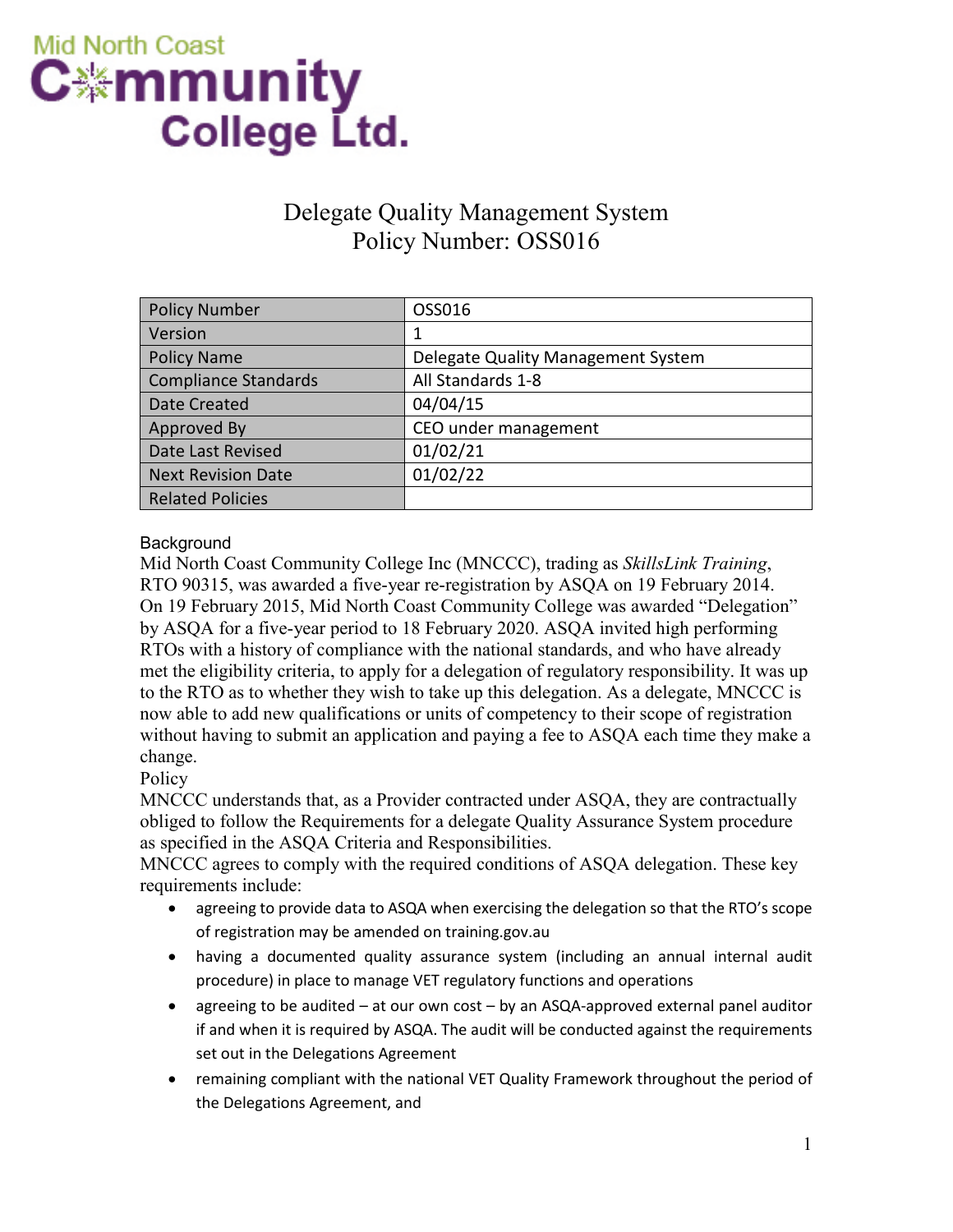# **Mid North Coast** C※mmunity College Ltd.

# Delegate Quality Management System Policy Number: OSS016

| <b>Policy Number</b>        | OSS016                             |
|-----------------------------|------------------------------------|
| Version                     | 1                                  |
| <b>Policy Name</b>          | Delegate Quality Management System |
| <b>Compliance Standards</b> | All Standards 1-8                  |
| Date Created                | 04/04/15                           |
| Approved By                 | CEO under management               |
| Date Last Revised           | 01/02/21                           |
| <b>Next Revision Date</b>   | 01/02/22                           |
| <b>Related Policies</b>     |                                    |

### **Background**

Mid North Coast Community College Inc (MNCCC), trading as *SkillsLink Training*, RTO 90315, was awarded a five-year re-registration by ASQA on 19 February 2014. On 19 February 2015, Mid North Coast Community College was awarded "Delegation" by ASQA for a five-year period to 18 February 2020. ASQA invited high performing RTOs with a history of compliance with the national standards, and who have already met the eligibility criteria, to apply for a delegation of regulatory responsibility. It was up to the RTO as to whether they wish to take up this delegation. As a delegate, MNCCC is now able to add new qualifications or units of competency to their scope of registration without having to submit an application and paying a fee to ASQA each time they make a change.

**Policy** 

MNCCC understands that, as a Provider contracted under ASQA, they are contractually obliged to follow the Requirements for a delegate Quality Assurance System procedure as specified in the ASQA Criteria and Responsibilities.

MNCCC agrees to comply with the required conditions of ASQA delegation. These key requirements include:

- agreeing to provide data to ASQA when exercising the delegation so that the RTO's scope of registration may be amended on training.gov.au
- having a documented quality assurance system (including an annual internal audit procedure) in place to manage VET regulatory functions and operations
- agreeing to be audited at our own cost by an ASQA-approved external panel auditor if and when it is required by ASQA. The audit will be conducted against the requirements set out in the Delegations Agreement
- remaining compliant with the national VET Quality Framework throughout the period of the Delegations Agreement, and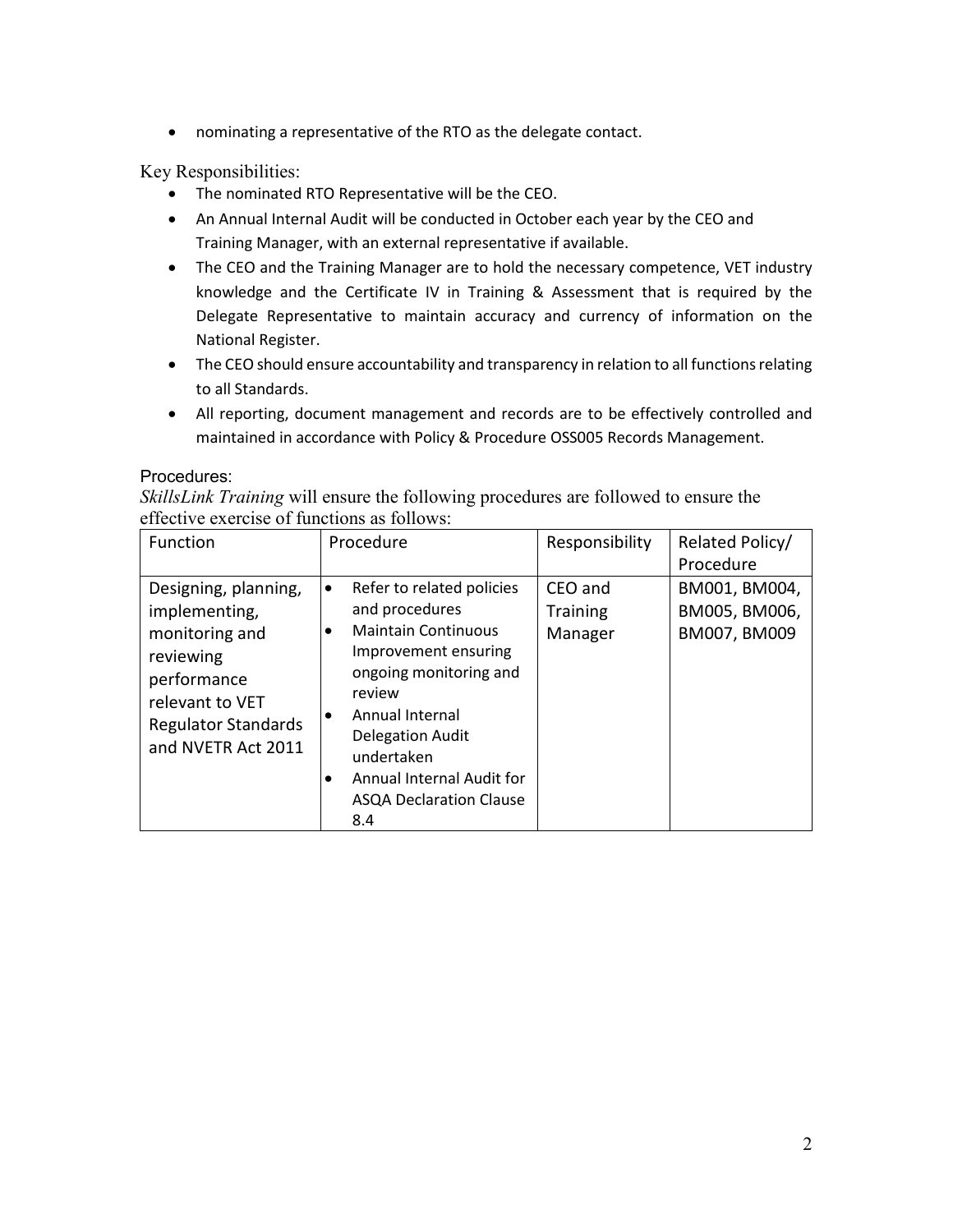• nominating a representative of the RTO as the delegate contact.

Key Responsibilities:

- The nominated RTO Representative will be the CEO.
- An Annual Internal Audit will be conducted in October each year by the CEO and Training Manager, with an external representative if available.
- The CEO and the Training Manager are to hold the necessary competence, VET industry knowledge and the Certificate IV in Training & Assessment that is required by the Delegate Representative to maintain accuracy and currency of information on the National Register.
- The CEO should ensure accountability and transparency in relation to all functions relating to all Standards.
- All reporting, document management and records are to be effectively controlled and maintained in accordance with Policy & Procedure OSS005 Records Management.

#### Procedures:

*SkillsLink Training* will ensure the following procedures are followed to ensure the effective exercise of functions as follows:

| Function                                                                                                                                                   | Procedure                                                                                                                                                                                                                                                                            | Responsibility                        | Related Policy/                                |
|------------------------------------------------------------------------------------------------------------------------------------------------------------|--------------------------------------------------------------------------------------------------------------------------------------------------------------------------------------------------------------------------------------------------------------------------------------|---------------------------------------|------------------------------------------------|
|                                                                                                                                                            |                                                                                                                                                                                                                                                                                      |                                       | Procedure                                      |
| Designing, planning,<br>implementing,<br>monitoring and<br>reviewing<br>performance<br>relevant to VET<br><b>Regulator Standards</b><br>and NVETR Act 2011 | Refer to related policies<br>$\bullet$<br>and procedures<br><b>Maintain Continuous</b><br>Improvement ensuring<br>ongoing monitoring and<br>review<br>Annual Internal<br><b>Delegation Audit</b><br>undertaken<br>Annual Internal Audit for<br><b>ASQA Declaration Clause</b><br>8.4 | CEO and<br><b>Training</b><br>Manager | BM001, BM004,<br>BM005, BM006,<br>BM007, BM009 |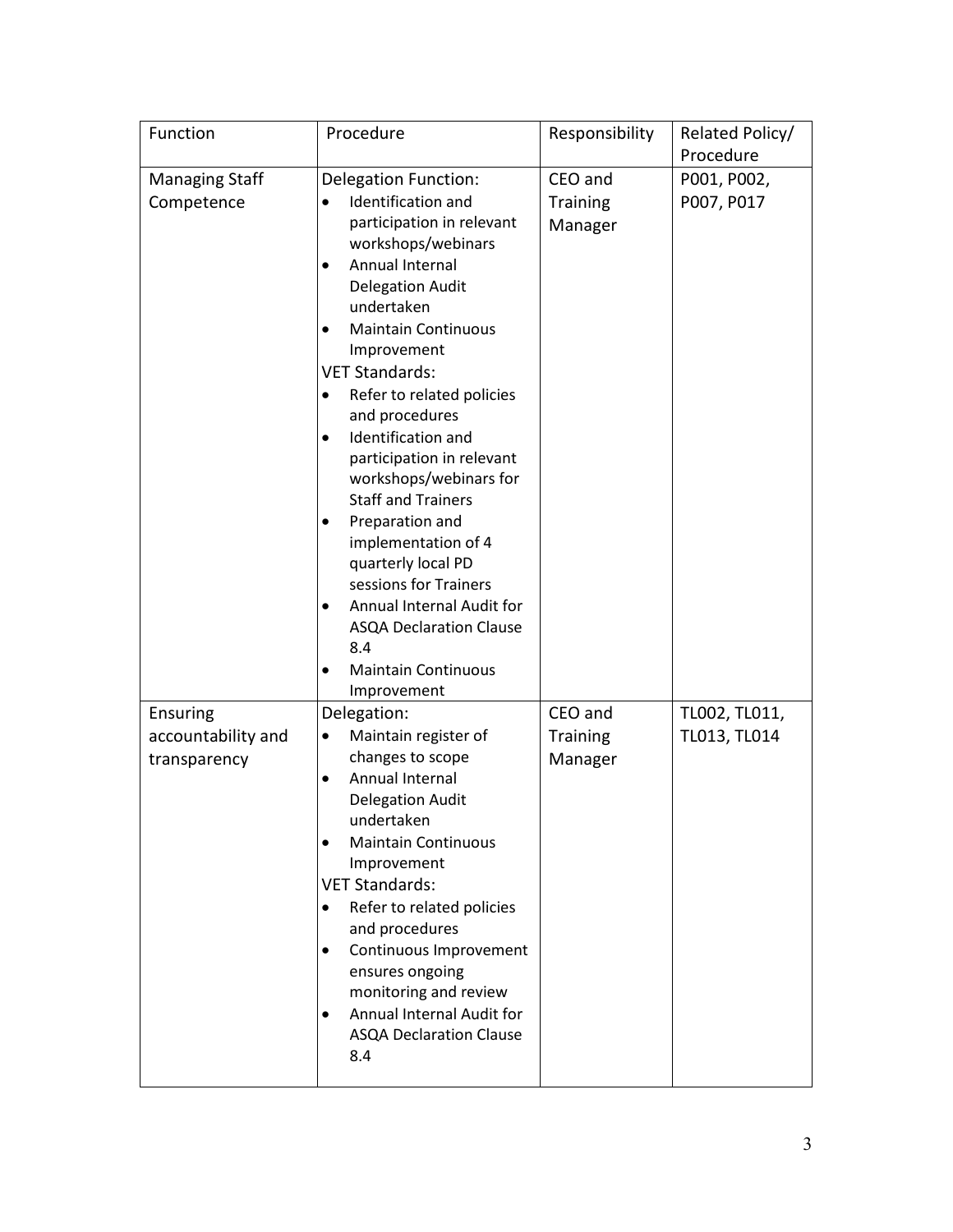| Function                                              | Procedure                                                                                                                                                                                                                                                                                                                                                                                                                                                                                                                                                                 | Responsibility                        | Related Policy/                        |
|-------------------------------------------------------|---------------------------------------------------------------------------------------------------------------------------------------------------------------------------------------------------------------------------------------------------------------------------------------------------------------------------------------------------------------------------------------------------------------------------------------------------------------------------------------------------------------------------------------------------------------------------|---------------------------------------|----------------------------------------|
| <b>Managing Staff</b><br>Competence                   | <b>Delegation Function:</b><br>Identification and<br>participation in relevant<br>workshops/webinars<br>Annual Internal<br>$\bullet$<br><b>Delegation Audit</b><br>undertaken<br><b>Maintain Continuous</b><br>$\bullet$<br>Improvement<br><b>VET Standards:</b><br>Refer to related policies<br>and procedures<br>Identification and<br>$\bullet$<br>participation in relevant<br>workshops/webinars for<br><b>Staff and Trainers</b><br>Preparation and<br>implementation of 4<br>quarterly local PD<br>sessions for Trainers<br>Annual Internal Audit for<br>$\bullet$ | CEO and<br><b>Training</b><br>Manager | Procedure<br>P001, P002,<br>P007, P017 |
|                                                       | <b>ASQA Declaration Clause</b><br>8.4<br><b>Maintain Continuous</b><br>Improvement                                                                                                                                                                                                                                                                                                                                                                                                                                                                                        |                                       |                                        |
| <b>Ensuring</b><br>accountability and<br>transparency | Delegation:<br>Maintain register of<br>changes to scope<br>Annual Internal<br><b>Delegation Audit</b><br>undertaken<br><b>Maintain Continuous</b><br>Improvement<br><b>VET Standards:</b><br>Refer to related policies<br>$\bullet$<br>and procedures<br>Continuous Improvement<br>ensures ongoing<br>monitoring and review<br>Annual Internal Audit for<br><b>ASQA Declaration Clause</b><br>8.4                                                                                                                                                                         | CEO and<br><b>Training</b><br>Manager | TL002, TL011,<br>TL013, TL014          |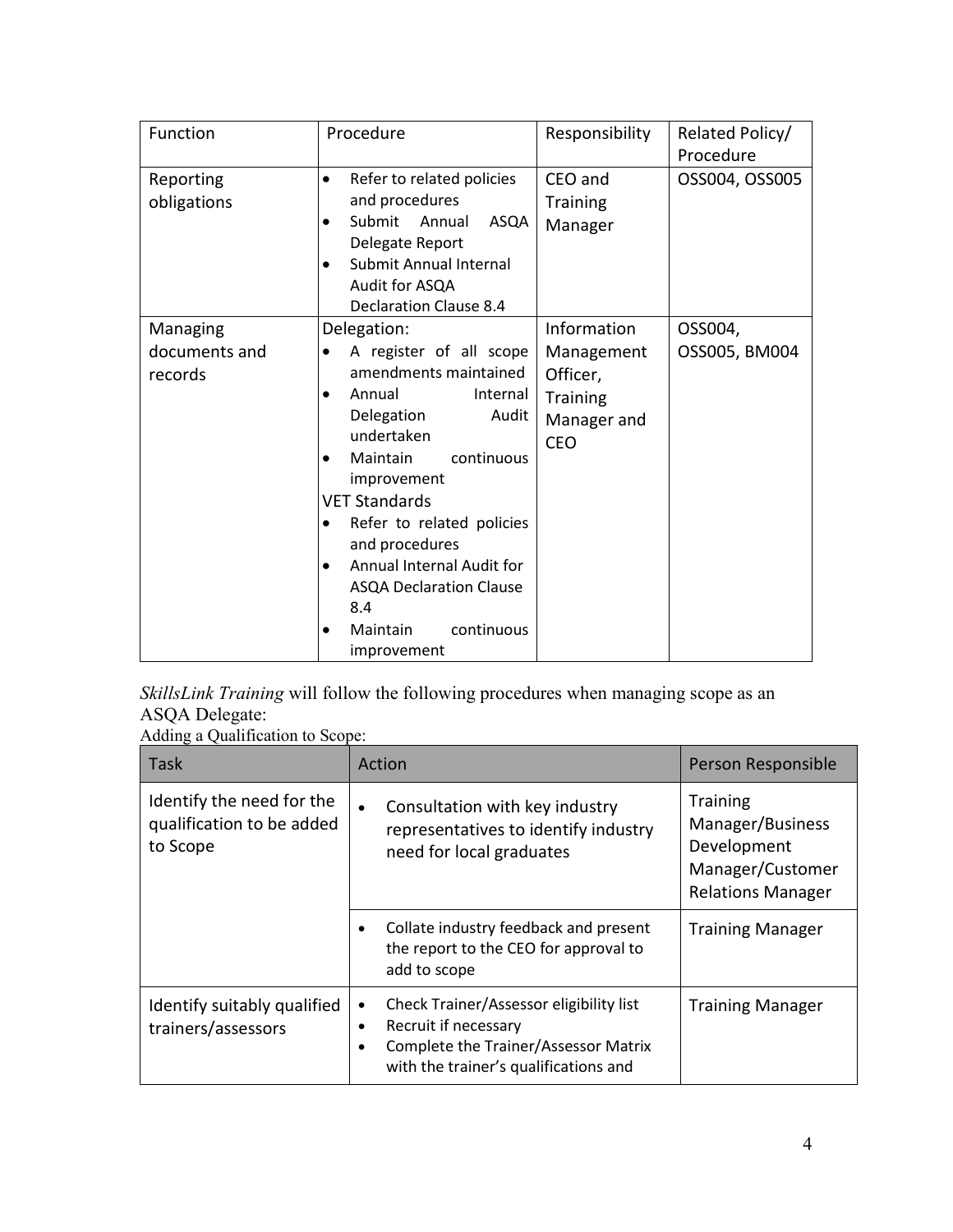| Function      | Procedure                              | Responsibility  | Related Policy/ |
|---------------|----------------------------------------|-----------------|-----------------|
|               |                                        |                 | Procedure       |
| Reporting     | Refer to related policies<br>$\bullet$ | CEO and         | OSS004, OSS005  |
| obligations   | and procedures                         | <b>Training</b> |                 |
|               | ASQA<br>Submit<br>Annual               | Manager         |                 |
|               | Delegate Report                        |                 |                 |
|               | Submit Annual Internal<br>$\bullet$    |                 |                 |
|               | Audit for ASQA                         |                 |                 |
|               | <b>Declaration Clause 8.4</b>          |                 |                 |
| Managing      | Delegation:                            | Information     | OSS004,         |
| documents and | A register of all scope<br>$\bullet$   | Management      | OSS005, BM004   |
| records       | amendments maintained                  | Officer,        |                 |
|               | Annual<br>Internal<br>$\bullet$        | <b>Training</b> |                 |
|               | Delegation<br>Audit                    | Manager and     |                 |
|               | undertaken                             | <b>CEO</b>      |                 |
|               | continuous<br>Maintain                 |                 |                 |
|               | improvement                            |                 |                 |
|               | <b>VET Standards</b>                   |                 |                 |
|               | Refer to related policies              |                 |                 |
|               | and procedures                         |                 |                 |
|               | Annual Internal Audit for<br>$\bullet$ |                 |                 |
|               | <b>ASQA Declaration Clause</b>         |                 |                 |
|               | 8.4                                    |                 |                 |
|               | continuous<br>Maintain<br>$\bullet$    |                 |                 |
|               | improvement                            |                 |                 |

*SkillsLink Training* will follow the following procedures when managing scope as an ASQA Delegate:

Adding a Qualification to Scope:

| Task                                                               | Action                                                                                                                                                             | Person Responsible                                                                                 |
|--------------------------------------------------------------------|--------------------------------------------------------------------------------------------------------------------------------------------------------------------|----------------------------------------------------------------------------------------------------|
| Identify the need for the<br>qualification to be added<br>to Scope | Consultation with key industry<br>$\bullet$<br>representatives to identify industry<br>need for local graduates                                                    | <b>Training</b><br>Manager/Business<br>Development<br>Manager/Customer<br><b>Relations Manager</b> |
|                                                                    | Collate industry feedback and present<br>the report to the CEO for approval to<br>add to scope                                                                     | <b>Training Manager</b>                                                                            |
| Identify suitably qualified<br>trainers/assessors                  | Check Trainer/Assessor eligibility list<br>$\bullet$<br>Recruit if necessary<br>٠<br>Complete the Trainer/Assessor Matrix<br>with the trainer's qualifications and | <b>Training Manager</b>                                                                            |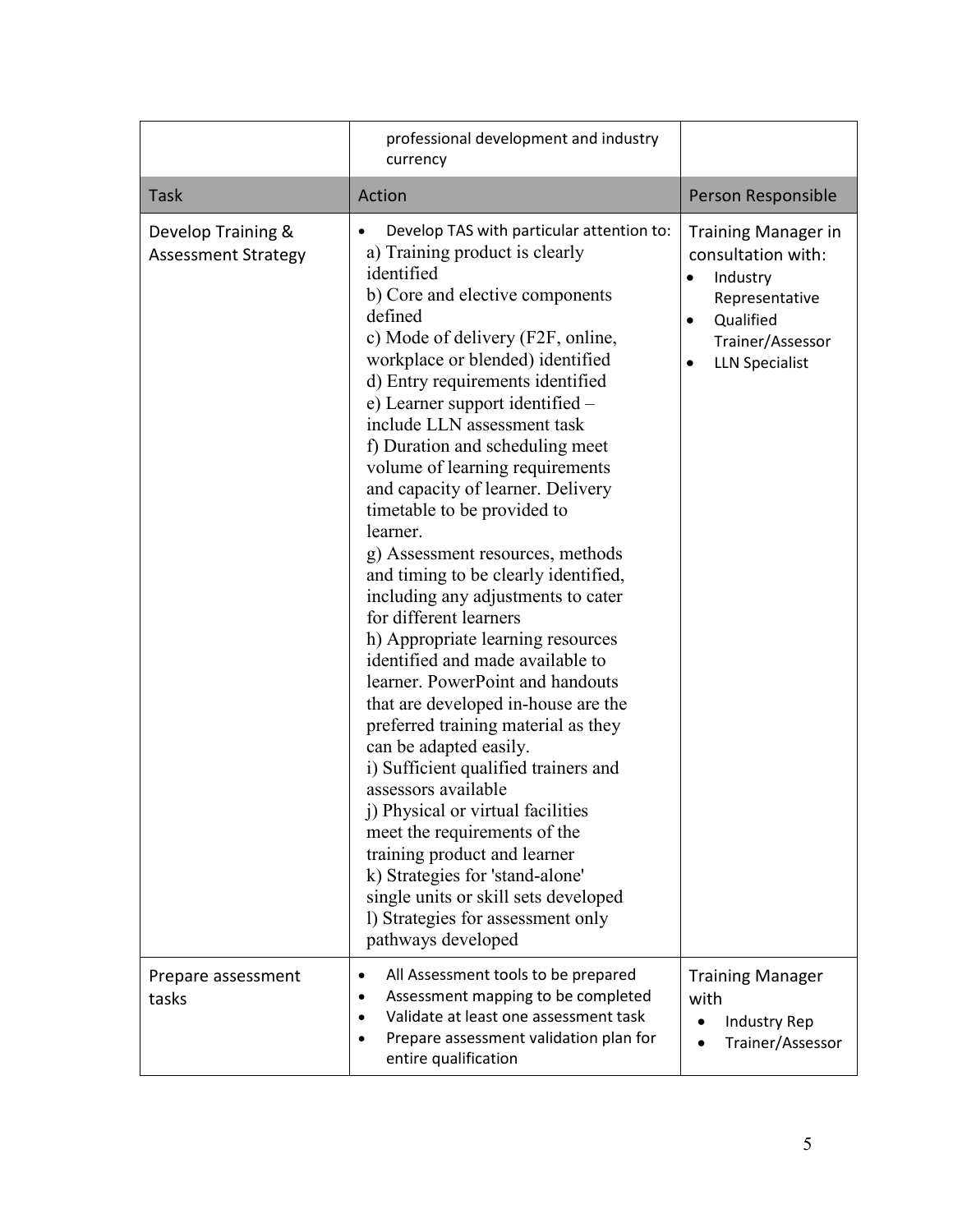|                                                  | professional development and industry<br>currency                                                                                                                                                                                                                                                                                                                                                                                                                                                                                                                                                                                                                                                                                                                                                                                                                                                                                                                                                                                                                                                                                                       |                                                                                                                                          |
|--------------------------------------------------|---------------------------------------------------------------------------------------------------------------------------------------------------------------------------------------------------------------------------------------------------------------------------------------------------------------------------------------------------------------------------------------------------------------------------------------------------------------------------------------------------------------------------------------------------------------------------------------------------------------------------------------------------------------------------------------------------------------------------------------------------------------------------------------------------------------------------------------------------------------------------------------------------------------------------------------------------------------------------------------------------------------------------------------------------------------------------------------------------------------------------------------------------------|------------------------------------------------------------------------------------------------------------------------------------------|
| <b>Task</b>                                      | Action                                                                                                                                                                                                                                                                                                                                                                                                                                                                                                                                                                                                                                                                                                                                                                                                                                                                                                                                                                                                                                                                                                                                                  | Person Responsible                                                                                                                       |
| Develop Training &<br><b>Assessment Strategy</b> | Develop TAS with particular attention to:<br>a) Training product is clearly<br>identified<br>b) Core and elective components<br>defined<br>c) Mode of delivery (F2F, online,<br>workplace or blended) identified<br>d) Entry requirements identified<br>e) Learner support identified –<br>include LLN assessment task<br>f) Duration and scheduling meet<br>volume of learning requirements<br>and capacity of learner. Delivery<br>timetable to be provided to<br>learner.<br>g) Assessment resources, methods<br>and timing to be clearly identified,<br>including any adjustments to cater<br>for different learners<br>h) Appropriate learning resources<br>identified and made available to<br>learner. PowerPoint and handouts<br>that are developed in-house are the<br>preferred training material as they<br>can be adapted easily.<br>i) Sufficient qualified trainers and<br>assessors available<br>j) Physical or virtual facilities<br>meet the requirements of the<br>training product and learner<br>k) Strategies for 'stand-alone'<br>single units or skill sets developed<br>1) Strategies for assessment only<br>pathways developed | <b>Training Manager in</b><br>consultation with:<br>Industry<br>Representative<br>Qualified<br>Trainer/Assessor<br><b>LLN Specialist</b> |
| Prepare assessment<br>tasks                      | All Assessment tools to be prepared<br>$\bullet$<br>Assessment mapping to be completed<br>Validate at least one assessment task<br>٠<br>Prepare assessment validation plan for<br>$\bullet$<br>entire qualification                                                                                                                                                                                                                                                                                                                                                                                                                                                                                                                                                                                                                                                                                                                                                                                                                                                                                                                                     | <b>Training Manager</b><br>with<br>Industry Rep<br>$\bullet$<br>Trainer/Assessor                                                         |